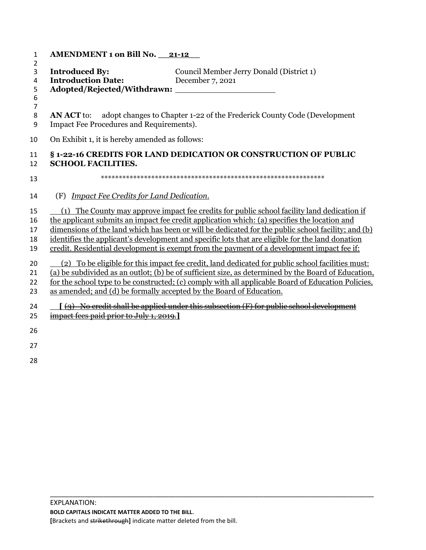| 1                                       | <b>AMENDMENT 1 on Bill No. 21-12</b>                                                                                                                                                                                                                                                                                                                                                                                                                                                                |  |
|-----------------------------------------|-----------------------------------------------------------------------------------------------------------------------------------------------------------------------------------------------------------------------------------------------------------------------------------------------------------------------------------------------------------------------------------------------------------------------------------------------------------------------------------------------------|--|
| 2<br>3<br>4<br>5<br>6<br>$\overline{7}$ | <b>Introduced By:</b><br>Council Member Jerry Donald (District 1)<br><b>Introduction Date:</b><br>December 7, 2021                                                                                                                                                                                                                                                                                                                                                                                  |  |
| 8<br>9                                  | adopt changes to Chapter 1-22 of the Frederick County Code (Development<br><b>AN ACT</b> to:<br>Impact Fee Procedures and Requirements).                                                                                                                                                                                                                                                                                                                                                            |  |
| 10                                      | On Exhibit 1, it is hereby amended as follows:                                                                                                                                                                                                                                                                                                                                                                                                                                                      |  |
| 11<br>12                                | § 1-22-16 CREDITS FOR LAND DEDICATION OR CONSTRUCTION OF PUBLIC<br><b>SCHOOL FACILITIES.</b>                                                                                                                                                                                                                                                                                                                                                                                                        |  |
| 13                                      |                                                                                                                                                                                                                                                                                                                                                                                                                                                                                                     |  |
| 14                                      | <b>Impact Fee Credits for Land Dedication.</b><br>(F)                                                                                                                                                                                                                                                                                                                                                                                                                                               |  |
| 15<br>16<br>17<br>18<br>19              | (1) The County may approve impact fee credits for public school facility land dedication if<br>the applicant submits an impact fee credit application which: (a) specifies the location and<br>dimensions of the land which has been or will be dedicated for the public school facility; and (b)<br>identifies the applicant's development and specific lots that are eligible for the land donation<br>credit. Residential development is exempt from the payment of a development impact fee if: |  |
| 20<br>21<br>22<br>23                    | (2) To be eligible for this impact fee credit, land dedicated for public school facilities must:<br>(a) be subdivided as an outlot; (b) be of sufficient size, as determined by the Board of Education,<br>for the school type to be constructed; (c) comply with all applicable Board of Education Policies.<br>as amended; and (d) be formally accepted by the Board of Education.                                                                                                                |  |
| 24<br>25                                | $\lceil$ (3) No credit shall be applied under this subsection (F) for public school development<br>impact fees paid prior to July 1, 2019.]                                                                                                                                                                                                                                                                                                                                                         |  |
| 26                                      |                                                                                                                                                                                                                                                                                                                                                                                                                                                                                                     |  |
| 27                                      |                                                                                                                                                                                                                                                                                                                                                                                                                                                                                                     |  |

\_\_\_\_\_\_\_\_\_\_\_\_\_\_\_\_\_\_\_\_\_\_\_\_\_\_\_\_\_\_\_\_\_\_\_\_\_\_\_\_\_\_\_\_\_\_\_\_\_\_\_\_\_\_\_\_\_\_\_\_\_\_\_\_\_\_\_\_\_\_\_\_\_\_\_\_\_\_\_\_\_\_\_\_\_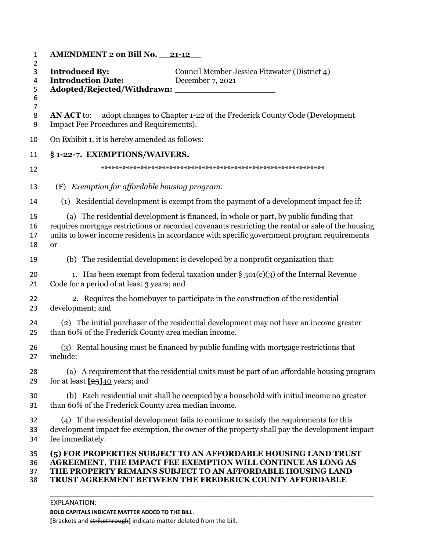| <b>AMENDMENT 2 on Bill No. 21-12</b>                          |                                                                                                                                                                                                                                                                                            |
|---------------------------------------------------------------|--------------------------------------------------------------------------------------------------------------------------------------------------------------------------------------------------------------------------------------------------------------------------------------------|
| <b>Introduced By:</b><br><b>Introduction Date:</b>            | Council Member Jessica Fitzwater (District 4)<br>December 7, 2021                                                                                                                                                                                                                          |
|                                                               |                                                                                                                                                                                                                                                                                            |
| <b>AN ACT</b> to:<br>Impact Fee Procedures and Requirements). | adopt changes to Chapter 1-22 of the Frederick County Code (Development                                                                                                                                                                                                                    |
| On Exhibit 1, it is hereby amended as follows:                |                                                                                                                                                                                                                                                                                            |
| § 1-22-7. EXEMPTIONS/WAIVERS.                                 |                                                                                                                                                                                                                                                                                            |
|                                                               |                                                                                                                                                                                                                                                                                            |
| (F) Exemption for affordable housing program.                 |                                                                                                                                                                                                                                                                                            |
|                                                               | (1) Residential development is exempt from the payment of a development impact fee if:                                                                                                                                                                                                     |
| <sub>or</sub>                                                 | (a) The residential development is financed, in whole or part, by public funding that<br>requires mortgage restrictions or recorded covenants restricting the rental or sale of the housing<br>units to lower income residents in accordance with specific government program requirements |
|                                                               | (b) The residential development is developed by a nonprofit organization that:                                                                                                                                                                                                             |
| Code for a period of at least 3 years; and                    | 1. Has been exempt from federal taxation under $\S$ 501(c)(3) of the Internal Revenue                                                                                                                                                                                                      |
| development; and                                              | 2. Requires the homebuyer to participate in the construction of the residential                                                                                                                                                                                                            |
| than 60% of the Frederick County area median income.          | (2) The initial purchaser of the residential development may not have an income greater                                                                                                                                                                                                    |
| include:                                                      | (3) Rental housing must be financed by public funding with mortgage restrictions that                                                                                                                                                                                                      |
| for at least $\sqrt{25/40}$ years; and                        | (a) A requirement that the residential units must be part of an affordable housing program                                                                                                                                                                                                 |
| than 60% of the Frederick County area median income.          | (b) Each residential unit shall be occupied by a household with initial income no greater                                                                                                                                                                                                  |
| fee immediately.                                              | (4) If the residential development fails to continue to satisfy the requirements for this<br>development impact fee exemption, the owner of the property shall pay the development impact                                                                                                  |
|                                                               | (5) FOR PROPERTIES SUBJECT TO AN AFFORDABLE HOUSING LAND TRUST<br>AGREEMENT, THE IMPACT FEE EXEMPTION WILL CONTINUE AS LONG AS<br>THE PROPERTY REMAINS SUBJECT TO AN AFFORDABLE HOUSING LAND<br>TRUST AGREEMENT BETWEEN THE FREDERICK COUNTY AFFORDABLE                                    |